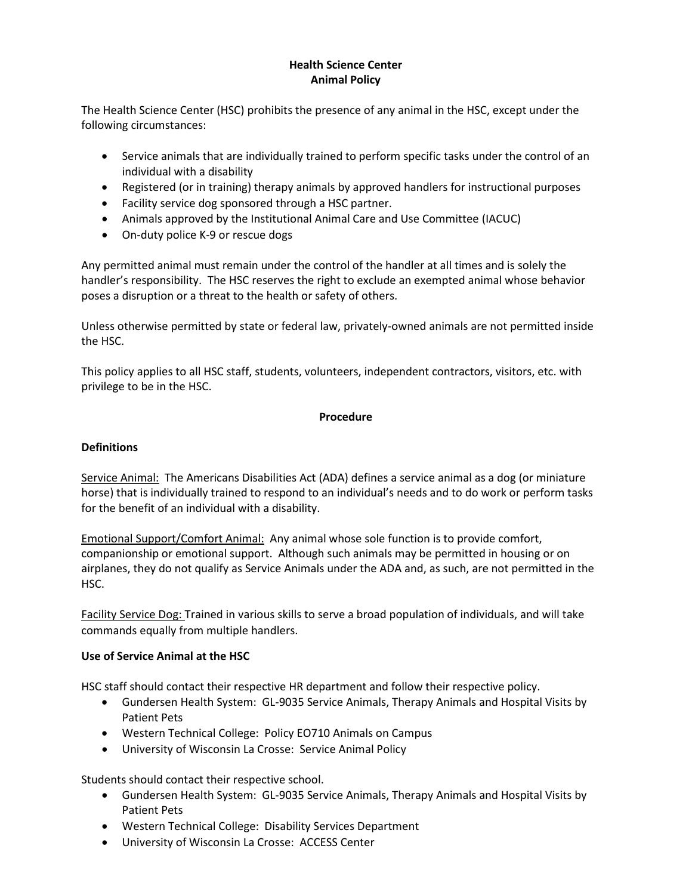## **Health Science Center Animal Policy**

The Health Science Center (HSC) prohibits the presence of any animal in the HSC, except under the following circumstances:

- Service animals that are individually trained to perform specific tasks under the control of an individual with a disability
- Registered (or in training) therapy animals by approved handlers for instructional purposes
- Facility service dog sponsored through a HSC partner.
- Animals approved by the Institutional Animal Care and Use Committee (IACUC)
- On-duty police K-9 or rescue dogs

Any permitted animal must remain under the control of the handler at all times and is solely the handler's responsibility. The HSC reserves the right to exclude an exempted animal whose behavior poses a disruption or a threat to the health or safety of others.

Unless otherwise permitted by state or federal law, privately-owned animals are not permitted inside the HSC.

This policy applies to all HSC staff, students, volunteers, independent contractors, visitors, etc. with privilege to be in the HSC.

## **Procedure**

### **Definitions**

Service Animal: The Americans Disabilities Act (ADA) defines a service animal as a dog (or miniature horse) that is individually trained to respond to an individual's needs and to do work or perform tasks for the benefit of an individual with a disability.

Emotional Support/Comfort Animal: Any animal whose sole function is to provide comfort, companionship or emotional support. Although such animals may be permitted in housing or on airplanes, they do not qualify as Service Animals under the ADA and, as such, are not permitted in the HSC.

Facility Service Dog: Trained in various skills to serve a broad population of individuals, and will take commands equally from multiple handlers.

#### **Use of Service Animal at the HSC**

HSC staff should contact their respective HR department and follow their respective policy.

- Gundersen Health System: GL-9035 Service Animals, Therapy Animals and Hospital Visits by Patient Pets
- Western Technical College: Policy EO710 Animals on Campus
- University of Wisconsin La Crosse: Service Animal Policy

Students should contact their respective school.

- Gundersen Health System: GL-9035 Service Animals, Therapy Animals and Hospital Visits by Patient Pets
- Western Technical College: Disability Services Department
- University of Wisconsin La Crosse: ACCESS Center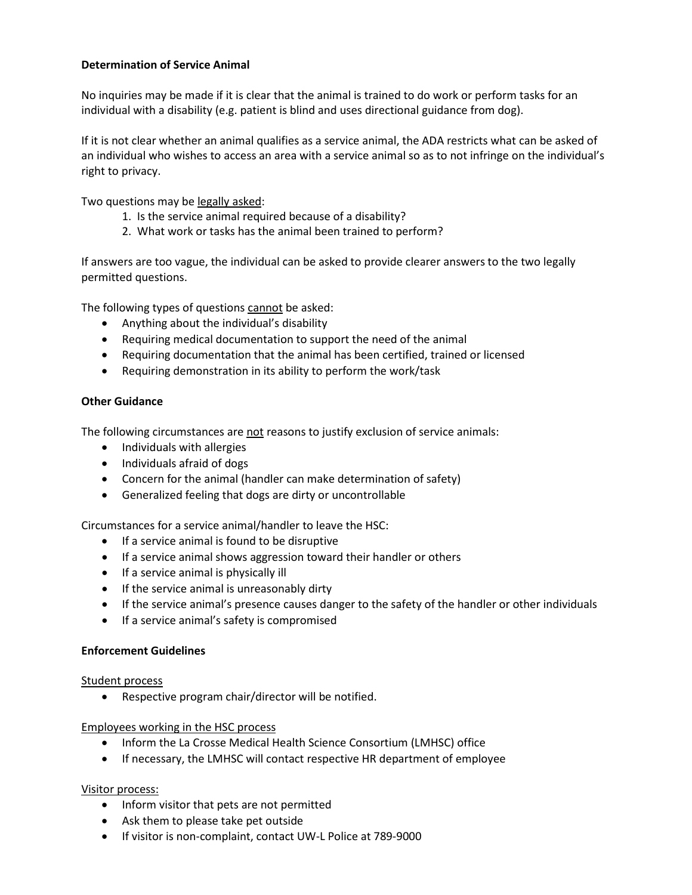### **Determination of Service Animal**

No inquiries may be made if it is clear that the animal is trained to do work or perform tasks for an individual with a disability (e.g. patient is blind and uses directional guidance from dog).

If it is not clear whether an animal qualifies as a service animal, the ADA restricts what can be asked of an individual who wishes to access an area with a service animal so as to not infringe on the individual's right to privacy.

Two questions may be legally asked:

- 1. Is the service animal required because of a disability?
- 2. What work or tasks has the animal been trained to perform?

If answers are too vague, the individual can be asked to provide clearer answers to the two legally permitted questions.

The following types of questions cannot be asked:

- Anything about the individual's disability
- Requiring medical documentation to support the need of the animal
- Requiring documentation that the animal has been certified, trained or licensed
- Requiring demonstration in its ability to perform the work/task

## **Other Guidance**

The following circumstances are not reasons to justify exclusion of service animals:

- Individuals with allergies
- Individuals afraid of dogs
- Concern for the animal (handler can make determination of safety)
- Generalized feeling that dogs are dirty or uncontrollable

Circumstances for a service animal/handler to leave the HSC:

- If a service animal is found to be disruptive
- If a service animal shows aggression toward their handler or others
- If a service animal is physically ill
- If the service animal is unreasonably dirty
- If the service animal's presence causes danger to the safety of the handler or other individuals
- If a service animal's safety is compromised

#### **Enforcement Guidelines**

#### Student process

• Respective program chair/director will be notified.

#### Employees working in the HSC process

- Inform the La Crosse Medical Health Science Consortium (LMHSC) office
- If necessary, the LMHSC will contact respective HR department of employee

#### Visitor process:

- Inform visitor that pets are not permitted
- Ask them to please take pet outside
- If visitor is non-complaint, contact UW-L Police at 789-9000